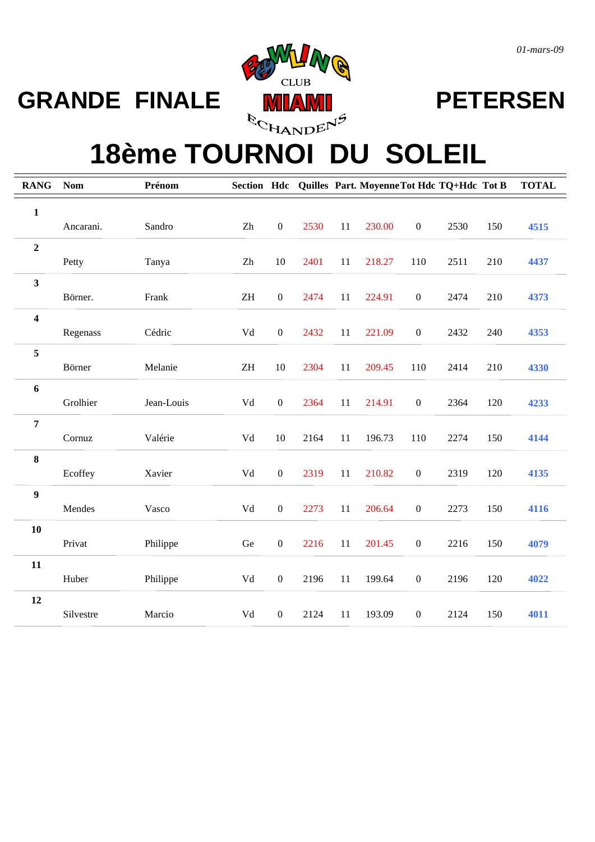



### **18ème TOURNOI DU SOLEIL**

| <b>RANG</b>             | <b>Nom</b> | Prénom     |                            |                  |      |    | Section Hdc Quilles Part. Moyenne Tot Hdc TQ+Hdc Tot B |                  |      |     | <b>TOTAL</b> |
|-------------------------|------------|------------|----------------------------|------------------|------|----|--------------------------------------------------------|------------------|------|-----|--------------|
| $\mathbf{1}$            |            |            |                            |                  |      |    |                                                        |                  |      |     |              |
|                         | Ancarani.  | Sandro     | Zh                         | $\boldsymbol{0}$ | 2530 | 11 | 230.00                                                 | $\boldsymbol{0}$ | 2530 | 150 | 4515         |
| $\overline{2}$          |            |            |                            |                  |      |    |                                                        |                  |      |     |              |
|                         | Petty      | Tanya      | $\rm Zh$                   | 10               | 2401 | 11 | 218.27                                                 | 110              | 2511 | 210 | 4437         |
| $\mathbf{3}$            |            |            |                            |                  |      |    |                                                        |                  |      |     |              |
|                         | Börner.    | Frank      | $\ensuremath{\mathsf{ZH}}$ | $\boldsymbol{0}$ | 2474 | 11 | 224.91                                                 | $\boldsymbol{0}$ | 2474 | 210 | 4373         |
| $\overline{\mathbf{4}}$ |            |            |                            |                  |      |    |                                                        |                  |      |     |              |
|                         | Regenass   | Cédric     | Vd                         | $\boldsymbol{0}$ | 2432 | 11 | 221.09                                                 | $\boldsymbol{0}$ | 2432 | 240 | 4353         |
| $\overline{5}$          | Börner     | Melanie    | $\ensuremath{\mathrm{ZH}}$ | 10               | 2304 | 11 | 209.45                                                 | 110              | 2414 | 210 | 4330         |
| $\boldsymbol{6}$        |            |            |                            |                  |      |    |                                                        |                  |      |     |              |
|                         | Grolhier   | Jean-Louis | ${\rm Vd}$                 | $\boldsymbol{0}$ | 2364 | 11 | 214.91                                                 | $\boldsymbol{0}$ | 2364 | 120 | 4233         |
| $\overline{7}$          |            |            |                            |                  |      |    |                                                        |                  |      |     |              |
|                         | Cornuz     | Valérie    | Vd                         | 10               | 2164 | 11 | 196.73                                                 | 110              | 2274 | 150 | 4144         |
| $\bf 8$                 |            |            |                            |                  |      |    |                                                        |                  |      |     |              |
|                         | Ecoffey    | Xavier     | Vd                         | $\boldsymbol{0}$ | 2319 | 11 | 210.82                                                 | $\boldsymbol{0}$ | 2319 | 120 | 4135         |
| $\boldsymbol{9}$        |            |            |                            |                  |      |    |                                                        |                  |      |     |              |
|                         | Mendes     | Vasco      | Vd                         | $\boldsymbol{0}$ | 2273 | 11 | 206.64                                                 | $\boldsymbol{0}$ | 2273 | 150 | 4116         |
| 10                      |            |            |                            |                  |      |    |                                                        |                  |      |     |              |
|                         | Privat     | Philippe   | Ge                         | $\boldsymbol{0}$ | 2216 | 11 | 201.45                                                 | $\boldsymbol{0}$ | 2216 | 150 | 4079         |
| 11                      |            |            |                            |                  |      |    |                                                        |                  |      |     |              |
|                         | Huber      | Philippe   | ${\rm Vd}$                 | $\boldsymbol{0}$ | 2196 | 11 | 199.64                                                 | $\boldsymbol{0}$ | 2196 | 120 | 4022         |
| 12                      | Silvestre  |            | Vd                         | $\boldsymbol{0}$ | 2124 | 11 |                                                        | $\boldsymbol{0}$ | 2124 | 150 |              |
|                         |            | Marcio     |                            |                  |      |    | 193.09                                                 |                  |      |     | 4011         |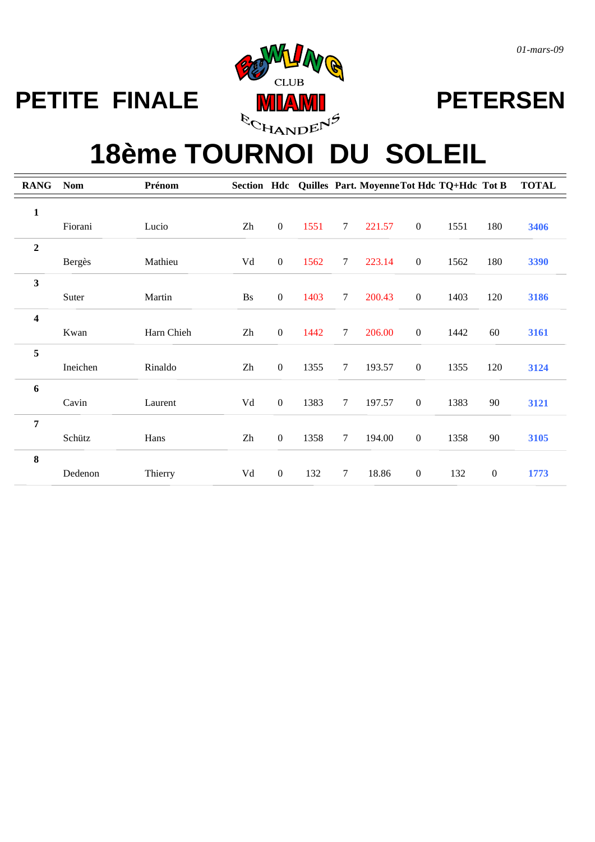

## **18ème TOURNOI DU SOLEIL**

| <b>RANG</b>             | <b>Nom</b> | Prénom     |                        |                  |      |                 | Section Hdc Quilles Part. Moyenne Tot Hdc TQ+Hdc Tot B |                  |      |                  | <b>TOTAL</b> |
|-------------------------|------------|------------|------------------------|------------------|------|-----------------|--------------------------------------------------------|------------------|------|------------------|--------------|
| $\mathbf{1}$            |            |            |                        |                  |      |                 |                                                        |                  |      |                  |              |
|                         | Fiorani    | Lucio      | Zh                     | $\mathbf{0}$     | 1551 | $7\phantom{.0}$ | 221.57                                                 | $\boldsymbol{0}$ | 1551 | 180              | 3406         |
| $\mathbf 2$             |            |            |                        |                  |      |                 |                                                        |                  |      |                  |              |
|                         | Bergès     | Mathieu    | ${\rm Vd}$             | $\boldsymbol{0}$ | 1562 | $\tau$          | 223.14                                                 | $\boldsymbol{0}$ | 1562 | 180              | 3390         |
| 3                       |            |            |                        |                  |      |                 |                                                        |                  |      |                  |              |
|                         | Suter      | Martin     | Bs                     | $\boldsymbol{0}$ | 1403 | $\tau$          | 200.43                                                 | $\boldsymbol{0}$ | 1403 | 120              | 3186         |
| $\overline{\mathbf{4}}$ |            |            |                        |                  |      |                 |                                                        |                  |      |                  |              |
|                         | Kwan       | Harn Chieh | $\mathbf{Z}\mathbf{h}$ | $\boldsymbol{0}$ | 1442 | $\tau$          | 206.00                                                 | $\boldsymbol{0}$ | 1442 | 60               | 3161         |
| 5                       |            |            |                        |                  |      |                 |                                                        |                  |      |                  |              |
|                         | Ineichen   | Rinaldo    | Zh                     | $\boldsymbol{0}$ | 1355 | $\tau$          | 193.57                                                 | $\boldsymbol{0}$ | 1355 | 120              | 3124         |
| 6                       |            |            |                        |                  |      |                 |                                                        |                  |      |                  |              |
|                         | Cavin      | Laurent    | ${\rm Vd}$             | $\boldsymbol{0}$ | 1383 | $\tau$          | 197.57                                                 | $\boldsymbol{0}$ | 1383 | 90               | 3121         |
| $\overline{7}$          |            |            |                        |                  |      |                 |                                                        |                  |      |                  |              |
|                         | Schütz     | Hans       | Zh                     | $\boldsymbol{0}$ | 1358 | $\tau$          | 194.00                                                 | $\boldsymbol{0}$ | 1358 | 90               | 3105         |
| 8                       |            |            |                        |                  |      |                 |                                                        |                  |      |                  |              |
|                         | Dedenon    | Thierry    | Vd                     | $\mathbf{0}$     | 132  | $\tau$          | 18.86                                                  | $\boldsymbol{0}$ | 132  | $\boldsymbol{0}$ | 1773         |

*01-mars-09*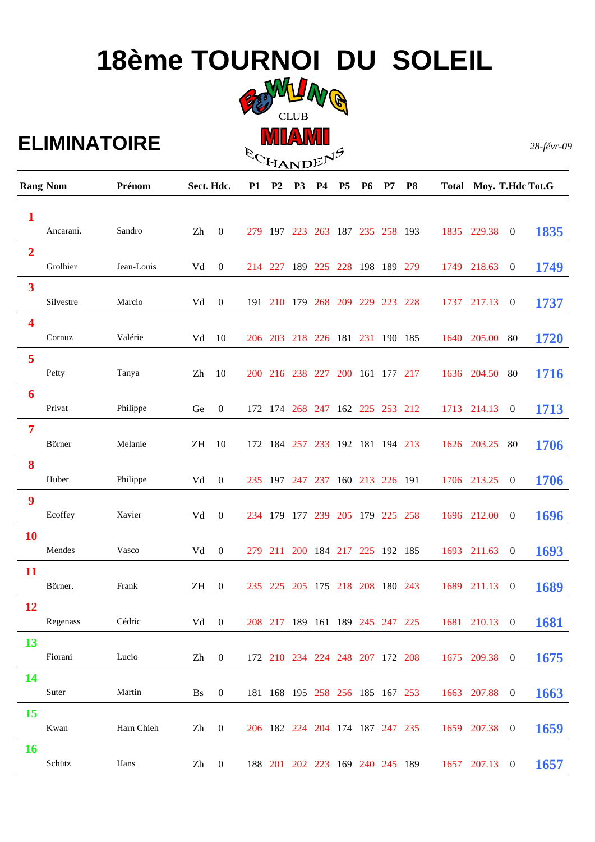# **18ème TOURNOI DU SOLEIL**



**ECHANDENS** 

### **ELIMINATOIRE**

*28-févr-09*

|                         | <b>Rang Nom</b> | Prénom     |        | Sect. Hdc.       |     | P <sub>2</sub>  | P <sub>3</sub> | <b>P4</b>   | <b>P5</b> | <b>P6</b>                       | P7 | P <sub>8</sub>                  |                                               | Total Moy. T.Hdc Tot.G |                  |             |  |
|-------------------------|-----------------|------------|--------|------------------|-----|-----------------|----------------|-------------|-----------|---------------------------------|----|---------------------------------|-----------------------------------------------|------------------------|------------------|-------------|--|
| $\mathbf{1}$            |                 |            |        |                  |     |                 |                |             |           |                                 |    |                                 |                                               |                        |                  |             |  |
|                         | Ancarani.       | Sandro     | Zh     | $\boldsymbol{0}$ |     | 279 197 223     |                |             |           | 263 187 235 258 193             |    |                                 |                                               | 1835 229.38            | $\boldsymbol{0}$ | 1835        |  |
| $\overline{2}$          |                 |            |        |                  |     |                 |                |             |           |                                 |    |                                 |                                               |                        |                  |             |  |
|                         | Grolhier        | Jean-Louis | Vd     | $\boldsymbol{0}$ |     | 214 227         |                | 189 225 228 |           | 198 189 279                     |    |                                 |                                               | 1749 218.63            | $\boldsymbol{0}$ | 1749        |  |
| $\overline{\mathbf{3}}$ |                 |            |        |                  |     |                 |                |             |           |                                 |    |                                 |                                               |                        |                  |             |  |
|                         | Silvestre       | Marcio     | Vd     | $\boldsymbol{0}$ |     |                 |                |             |           | 191 210 179 268 209 229 223 228 |    |                                 |                                               | 1737 217.13            | $\boldsymbol{0}$ | 1737        |  |
| $\overline{\mathbf{4}}$ |                 |            |        |                  |     |                 |                |             |           |                                 |    |                                 |                                               |                        |                  |             |  |
|                         | Cornuz          | Valérie    | Vd     | 10               |     |                 |                |             |           | 206 203 218 226 181 231 190 185 |    |                                 |                                               | 1640 205.00            | 80               | 1720        |  |
| 5                       |                 |            |        |                  |     |                 |                |             |           |                                 |    |                                 |                                               |                        |                  |             |  |
|                         | Petty           | Tanya      | Zh     | 10               |     | 200 216 238 227 |                |             |           | 200 161 177 217                 |    |                                 |                                               | 1636 204.50            | 80               | 1716        |  |
| 6                       |                 |            |        |                  |     |                 |                |             |           |                                 |    |                                 |                                               |                        |                  |             |  |
|                         | Privat          | Philippe   | Ge     | $\boldsymbol{0}$ | 172 |                 |                |             |           | 174 268 247 162 225 253 212     |    |                                 |                                               | 1713 214.13            | $\overline{0}$   | 1713        |  |
| 7                       |                 |            |        |                  |     |                 |                |             |           |                                 |    |                                 |                                               |                        |                  |             |  |
|                         | Börner          | Melanie    | ΖH     | 10               | 172 | 184 257         |                |             |           | 233 192 181 194 213             |    |                                 |                                               | 1626 203.25            | 80               | 1706        |  |
| 8                       |                 |            |        |                  |     |                 |                |             |           |                                 |    |                                 |                                               |                        |                  |             |  |
|                         | Huber           | Philippe   | Vd     | $\boldsymbol{0}$ | 235 | 197             | 247            | 237         |           | 160 213 226 191                 |    |                                 |                                               | 1706 213.25            | $\boldsymbol{0}$ | 1706        |  |
| 9                       | Ecoffey         | Xavier     |        |                  |     |                 |                |             |           |                                 |    |                                 |                                               |                        |                  |             |  |
|                         |                 |            | Vd     | $\boldsymbol{0}$ | 234 | -179            | 177            | 239         |           | 205 179 225 258                 |    |                                 |                                               | 1696 212.00            | $\boldsymbol{0}$ | 1696        |  |
| <b>10</b>               | Mendes          | Vasco      | Vd     | $\boldsymbol{0}$ | 279 | 211             |                |             |           | 200 184 217 225 192 185         |    |                                 | 1693                                          | 211.63                 | $\boldsymbol{0}$ | 1693        |  |
|                         |                 |            |        |                  |     |                 |                |             |           |                                 |    |                                 |                                               |                        |                  |             |  |
| 11                      | Börner.         | Frank      | ΖH     | $\boldsymbol{0}$ |     | 235 225 205     |                |             |           | 175 218 208 180 243             |    |                                 | 1689                                          | 211.13                 | $\boldsymbol{0}$ | 1689        |  |
| 12                      |                 |            |        |                  |     |                 |                |             |           |                                 |    |                                 |                                               |                        |                  |             |  |
|                         | Regenass        | Cédric     |        | $Vd \t 0$        |     |                 |                |             |           |                                 |    | 208 217 189 161 189 245 247 225 |                                               | 1681 210.13 0          |                  | <b>1681</b> |  |
| <b>13</b>               |                 |            |        |                  |     |                 |                |             |           |                                 |    |                                 |                                               |                        |                  |             |  |
|                         | Fiorani         | Lucio      | $Zh$ 0 |                  |     |                 |                |             |           |                                 |    |                                 | 172 210 234 224 248 207 172 208 1675 209.38 0 |                        |                  | 1675        |  |
| <b>14</b>               |                 |            |        |                  |     |                 |                |             |           |                                 |    |                                 |                                               |                        |                  |             |  |
|                         | Suter           | Martin     | Bs     | $\overline{0}$   |     |                 |                |             |           |                                 |    | 181 168 195 258 256 185 167 253 |                                               | 1663 207.88 0          |                  | 1663        |  |
| <b>15</b>               |                 |            |        |                  |     |                 |                |             |           |                                 |    |                                 |                                               |                        |                  |             |  |
|                         | Kwan            | Harn Chieh | Zh     | $\overline{0}$   |     |                 |                |             |           |                                 |    | 206 182 224 204 174 187 247 235 |                                               | 1659 207.38 0          |                  | 1659        |  |
| <b>16</b>               |                 |            |        |                  |     |                 |                |             |           |                                 |    |                                 |                                               |                        |                  |             |  |
|                         | Schütz          | Hans       | Zh     | $\overline{0}$   |     |                 |                |             |           |                                 |    |                                 | 188 201 202 223 169 240 245 189 1657 207.13 0 |                        |                  | 1657        |  |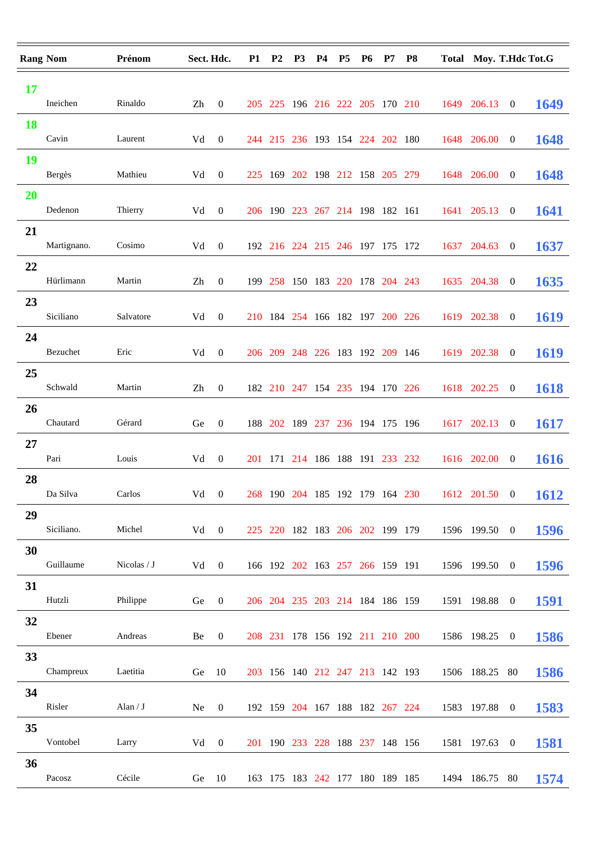| <b>Rang Nom</b> |               | Prénom      | Sect. Hdc. |                | <b>P1</b> | P <sub>2</sub> | P <sub>3</sub> | <b>P4</b> | <b>P5</b> | <b>P6</b> | <b>P7</b>                       | <b>P8</b>                       |      |                | Total Moy. T.Hdc Tot.G |             |
|-----------------|---------------|-------------|------------|----------------|-----------|----------------|----------------|-----------|-----------|-----------|---------------------------------|---------------------------------|------|----------------|------------------------|-------------|
| 17<br><b>18</b> | Ineichen      | Rinaldo     | Zh         | $\overline{0}$ |           |                |                |           |           |           | 205 225 196 216 222 205 170 210 |                                 |      | 1649 206.13    | $\overline{0}$         | 1649        |
|                 | Cavin         | Laurent     | Vd         | $\mathbf{0}$   |           |                |                |           |           |           | 244 215 236 193 154 224 202 180 |                                 |      | 1648 206.00    | $\overline{0}$         | 1648        |
| 19              | <b>Bergès</b> | Mathieu     | Vd         | $\overline{0}$ |           |                |                |           |           |           | 225 169 202 198 212 158 205 279 |                                 |      | 1648 206.00    | $\overline{0}$         | 1648        |
| 20              | Dedenon       | Thierry     | Vd         | $\overline{0}$ |           |                | 206 190 223    |           |           |           | 267 214 198 182 161             |                                 |      | 1641 205.13    | $\bf{0}$               | 1641        |
| 21              | Martignano.   | Cosimo      | Vd         | $\mathbf{0}$   |           |                |                |           |           |           | 192 216 224 215 246 197 175 172 |                                 | 1637 | 204.63         | $\bf{0}$               | 1637        |
| 22              | Hürlimann     | Martin      | Zh         | $\overline{0}$ |           |                |                |           |           |           | 199 258 150 183 220 178 204 243 |                                 |      | 1635 204.38    | $\overline{0}$         | 1635        |
| 23              | Siciliano     | Salvatore   | Vd         | $\mathbf{0}$   |           |                |                |           |           |           | 210 184 254 166 182 197 200 226 |                                 |      | 1619 202.38    | $\boldsymbol{0}$       | 1619        |
| 24              | Bezuchet      | Eric        | Vd         | $\mathbf{0}$   |           |                |                |           |           |           | 206 209 248 226 183 192 209 146 |                                 |      | 1619 202.38    | $\overline{0}$         | 1619        |
| 25              | Schwald       | Martin      | Zh         | $\overline{0}$ |           |                |                |           |           |           | 182 210 247 154 235 194 170 226 |                                 |      | 1618 202.25    | $\bf{0}$               | 1618        |
| 26              | Chautard      | Gérard      | Ge         | $\overline{0}$ |           |                |                |           |           |           | 188 202 189 237 236 194 175 196 |                                 | 1617 | 202.13         | $\boldsymbol{0}$       | 1617        |
| 27              | Pari          | Louis       | Vd         | $\overline{0}$ |           |                |                |           |           |           | 201 171 214 186 188 191 233 232 |                                 |      | 1616 202.00    | $\overline{0}$         | 1616        |
| 28              | Da Silva      | Carlos      |            | $Vd \t 0$      |           |                |                |           |           |           |                                 | 268 190 204 185 192 179 164 230 |      | 1612 201.50 0  |                        | 1612        |
| 29              | Siciliano.    | Michel      | $Vd \t 0$  |                |           |                |                |           |           |           | 225 220 182 183 206 202 199 179 |                                 |      | 1596 199.50 0  |                        | 1596        |
| 30              | Guillaume     | Nicolas / J | Vd 0       |                |           |                |                |           |           |           | 166 192 202 163 257 266 159 191 |                                 |      | 1596 199.50 0  |                        | 1596        |
| 31              | Hutzli        | Philippe    | Ge         | $\overline{0}$ |           |                |                |           |           |           | 206 204 235 203 214 184 186 159 |                                 |      | 1591 198.88 0  |                        | <b>1591</b> |
| 32              | Ebener        | Andreas     | Be         | $\overline{0}$ |           |                |                |           |           |           | 208 231 178 156 192 211 210 200 |                                 |      | 1586 198.25 0  |                        | 1586        |
| 33              | Champreux     | Laetitia    | Ge         | -10            |           |                |                |           |           |           | 203 156 140 212 247 213 142 193 |                                 |      | 1506 188.25 80 |                        | 1586        |
| 34              | Risler        | Alan / $J$  | Ne.        | $\overline{0}$ |           |                |                |           |           |           | 192 159 204 167 188 182 267 224 |                                 |      | 1583 197.88 0  |                        | 1583        |
| 35              | Vontobel      | Larry       | Vd         | $\mathbf{0}$   |           |                |                |           |           |           | 201 190 233 228 188 237 148 156 |                                 |      | 1581 197.63 0  |                        | <b>1581</b> |
| 36              | Pacosz        | Cécile      | Ge         | - 10           |           |                |                |           |           |           | 163 175 183 242 177 180 189 185 |                                 |      | 1494 186.75 80 |                        | 1574        |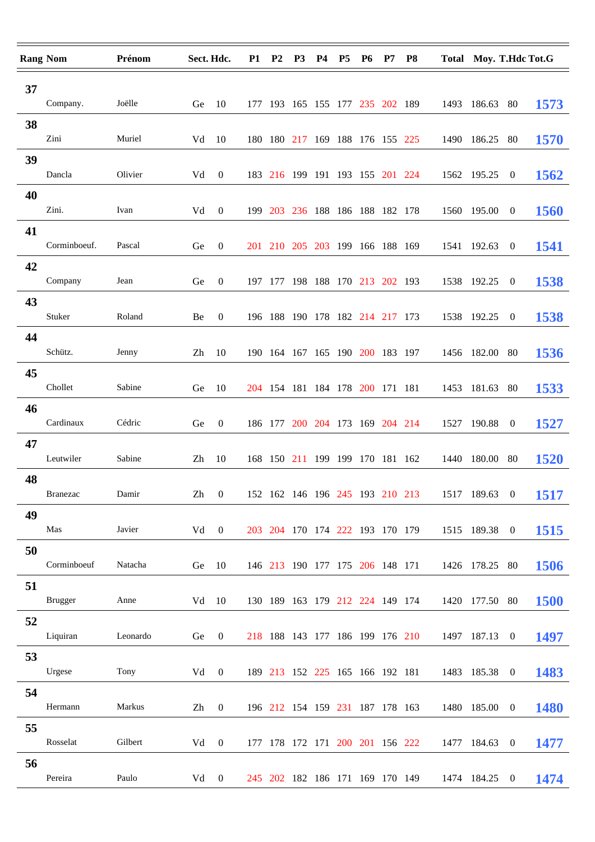| <b>Rang Nom</b> |                | Prénom   | Sect. Hdc.             |                  | <b>P1</b> | P <sub>2</sub> | P <sub>3</sub>                  | <b>P4</b> | P <sub>5</sub> | <b>P6</b> | P7 | <b>P8</b>                       | Total Moy. T.Hdc Tot.G |                  |             |
|-----------------|----------------|----------|------------------------|------------------|-----------|----------------|---------------------------------|-----------|----------------|-----------|----|---------------------------------|------------------------|------------------|-------------|
| 37              |                |          |                        |                  |           |                |                                 |           |                |           |    |                                 |                        |                  |             |
|                 | Company.       | Joëlle   | Ge                     | -10              |           |                | 177 193 165 155 177 235 202 189 |           |                |           |    |                                 | 1493 186.63 80         |                  | 1573        |
| 38              | Zini           | Muriel   | Vd                     | -10              |           |                | 180 180 217 169 188 176 155 225 |           |                |           |    |                                 | 1490 186.25            | -80              | 1570        |
| 39              |                |          |                        |                  |           |                |                                 |           |                |           |    |                                 |                        |                  |             |
|                 | Dancla         | Olivier  | Vd                     | $\overline{0}$   |           |                | 183 216 199 191 193 155 201 224 |           |                |           |    |                                 | 1562 195.25            | $\bf{0}$         | 1562        |
| 40              |                |          |                        |                  |           |                |                                 |           |                |           |    |                                 |                        |                  |             |
|                 | Zini.          | Ivan     | Vd                     | $\overline{0}$   |           |                | 199 203 236 188 186 188 182 178 |           |                |           |    |                                 | 1560 195.00            | $\overline{0}$   | <b>1560</b> |
| 41              | Corminboeuf.   | Pascal   | Ge                     | $\overline{0}$   |           |                | 201 210 205 203 199 166 188 169 |           |                |           |    |                                 | 1541 192.63            | $\bf{0}$         | 1541        |
| 42              |                |          |                        |                  |           |                |                                 |           |                |           |    |                                 |                        |                  |             |
|                 | Company        | Jean     | Ge                     | $\overline{0}$   |           |                | 197 177 198 188 170 213 202 193 |           |                |           |    |                                 | 1538 192.25            | $\bf{0}$         | 1538        |
| 43              | Stuker         | Roland   | Be                     | $\overline{0}$   |           |                | 196 188 190 178 182 214 217 173 |           |                |           |    |                                 | 1538 192.25            | $\boldsymbol{0}$ | 1538        |
| 44              |                |          |                        |                  |           |                |                                 |           |                |           |    |                                 |                        |                  |             |
|                 | Schütz.        | Jenny    | Zh                     | 10               |           |                | 190 164 167 165 190 200 183 197 |           |                |           |    |                                 | 1456 182.00 80         |                  | 1536        |
| 45              | Chollet        | Sabine   | Ge                     | 10               |           |                | 204 154 181 184 178 200 171 181 |           |                |           |    |                                 | 1453 181.63 80         |                  | 1533        |
| 46              |                |          |                        |                  |           |                |                                 |           |                |           |    |                                 |                        |                  |             |
|                 | Cardinaux      | Cédric   | Ge                     | $\overline{0}$   |           |                | 186 177 200 204 173 169 204 214 |           |                |           |    |                                 | 1527 190.88            | $\boldsymbol{0}$ | 1527        |
| 47              | Leutwiler      |          |                        |                  |           |                |                                 |           |                |           |    |                                 |                        |                  |             |
| 48              |                | Sabine   | Zh                     | 10               |           |                | 168 150 211 199 199 170 181 162 |           |                |           |    |                                 | 1440 180.00            | -80              | 1520        |
|                 | Branezac       | Damir    | $\mathbf{Z}\mathbf{h}$ | $\overline{0}$   |           |                |                                 |           |                |           |    | 152 162 146 196 245 193 210 213 | 1517 189.63 0          |                  | 1517        |
| 49              |                |          |                        |                  |           |                |                                 |           |                |           |    |                                 |                        |                  |             |
|                 | Mas            | Javier   | $Vd \t 0$              |                  |           |                | 203 204 170 174 222 193 170 179 |           |                |           |    |                                 | 1515 189.38 0          |                  | <b>1515</b> |
| 50              | Corminboeuf    | Natacha  | $Ge$ 10                |                  |           |                | 146 213 190 177 175 206 148 171 |           |                |           |    |                                 | 1426 178.25 80         |                  | 1506        |
| 51              |                |          |                        |                  |           |                |                                 |           |                |           |    |                                 |                        |                  |             |
|                 | <b>Brugger</b> | Anne     | $Vd \quad 10$          |                  |           |                | 130 189 163 179 212 224 149 174 |           |                |           |    |                                 | 1420 177.50 80         |                  | <b>1500</b> |
| 52              | Liquiran       | Leonardo | Ge                     | $\overline{0}$   |           |                | 218 188 143 177 186 199 176 210 |           |                |           |    |                                 | 1497 187.13 0          |                  | 1497        |
| 53              |                |          |                        |                  |           |                |                                 |           |                |           |    |                                 |                        |                  |             |
|                 | Urgese         | Tony     | Vd                     | $\overline{0}$   |           |                | 189 213 152 225 165 166 192 181 |           |                |           |    |                                 | 1483 185.38 0          |                  | 1483        |
| 54              | Hermann        | Markus   | Zh                     | $\boldsymbol{0}$ |           |                | 196 212 154 159 231 187 178 163 |           |                |           |    |                                 | 1480 185.00            | $\bf{0}$         | <b>1480</b> |
| 55              |                |          |                        |                  |           |                |                                 |           |                |           |    |                                 |                        |                  |             |
|                 | Rosselat       | Gilbert  | Vd                     | $\mathbf{0}$     |           |                | 177 178 172 171 200 201 156 222 |           |                |           |    |                                 | 1477 184.63 0          |                  | 1477        |
| 56              |                |          |                        |                  |           |                |                                 |           |                |           |    |                                 |                        |                  |             |
|                 | Pereira        | Paulo    | $Vd \t 0$              |                  |           |                |                                 |           |                |           |    | 245 202 182 186 171 169 170 149 | 1474 184.25 0          |                  | 1474        |